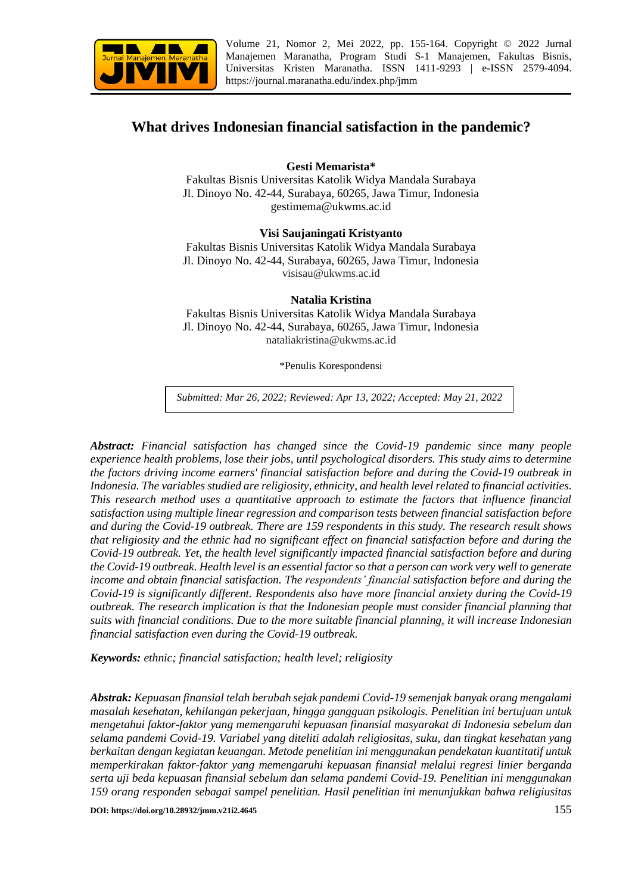

Volume 21, Nomor 2, Mei 2022, pp. 155-164. Copyright © 2022 Jurnal Manajemen Maranatha, Program Studi S-1 Manajemen, Fakultas Bisnis, Universitas Kristen Maranatha. ISSN 1411-9293 | e-ISSN 2579-4094. <https://journal.maranatha.edu/index.php/jmm>

# **What drives Indonesian financial satisfaction in the pandemic?**

**Gesti Memarista\***

Fakultas Bisnis Universitas Katolik Widya Mandala Surabaya Jl. Dinoyo No. 42-44, Surabaya, 60265, Jawa Timur, Indonesia gestimema@ukwms.ac.id

### **Visi Saujaningati Kristyanto**

Fakultas Bisnis Universitas Katolik Widya Mandala Surabaya Jl. Dinoyo No. 42-44, Surabaya, 60265, Jawa Timur, Indonesia visisau@ukwms.ac.id

#### **Natalia Kristina**

Fakultas Bisnis Universitas Katolik Widya Mandala Surabaya Jl. Dinoyo No. 42-44, Surabaya, 60265, Jawa Timur, Indonesia nataliakristina@ukwms.ac.id

\*Penulis Korespondensi

*Submitted: Mar 26, 2022; Reviewed: Apr 13, 2022; Accepted: May 21, 2022*

*Abstract: Financial satisfaction has changed since the Covid-19 pandemic since many people experience health problems, lose their jobs, until psychological disorders. This study aims to determine the factors driving income earners' financial satisfaction before and during the Covid-19 outbreak in Indonesia. The variables studied are religiosity, ethnicity, and health level related to financial activities. This research method uses a quantitative approach to estimate the factors that influence financial satisfaction using multiple linear regression and comparison tests between financial satisfaction before and during the Covid-19 outbreak. There are 159 respondents in this study. The research result shows that religiosity and the ethnic had no significant effect on financial satisfaction before and during the Covid-19 outbreak. Yet, the health level significantly impacted financial satisfaction before and during the Covid-19 outbreak. Health level is an essential factor so that a person can work very well to generate income and obtain financial satisfaction. The respondents' financial satisfaction before and during the Covid-19 is significantly different. Respondents also have more financial anxiety during the Covid-19 outbreak. The research implication is that the Indonesian people must consider financial planning that suits with financial conditions. Due to the more suitable financial planning, it will increase Indonesian financial satisfaction even during the Covid-19 outbreak.*

*Keywords: ethnic; financial satisfaction; health level; religiosity*

*Abstrak: Kepuasan finansial telah berubah sejak pandemi Covid-19 semenjak banyak orang mengalami masalah kesehatan, kehilangan pekerjaan, hingga gangguan psikologis. Penelitian ini bertujuan untuk mengetahui faktor-faktor yang memengaruhi kepuasan finansial masyarakat di Indonesia sebelum dan selama pandemi Covid-19. Variabel yang diteliti adalah religiositas, suku, dan tingkat kesehatan yang berkaitan dengan kegiatan keuangan. Metode penelitian ini menggunakan pendekatan kuantitatif untuk memperkirakan faktor-faktor yang memengaruhi kepuasan finansial melalui regresi linier berganda serta uji beda kepuasan finansial sebelum dan selama pandemi Covid-19. Penelitian ini menggunakan 159 orang responden sebagai sampel penelitian. Hasil penelitian ini menunjukkan bahwa religiusitas*

**DOI:** https://doi.org/10.28932/jmm.v21i2.4645 155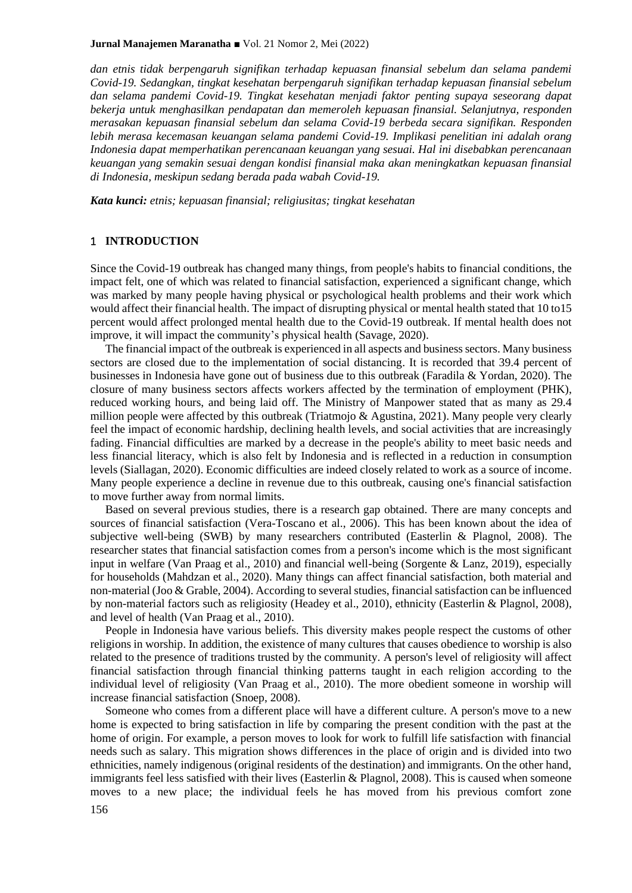#### **Jurnal Manajemen Maranatha** ■ Vol. 21 Nomor 2, Mei (2022)

*dan etnis tidak berpengaruh signifikan terhadap kepuasan finansial sebelum dan selama pandemi Covid-19. Sedangkan, tingkat kesehatan berpengaruh signifikan terhadap kepuasan finansial sebelum dan selama pandemi Covid-19. Tingkat kesehatan menjadi faktor penting supaya seseorang dapat bekerja untuk menghasilkan pendapatan dan memeroleh kepuasan finansial. Selanjutnya, responden merasakan kepuasan finansial sebelum dan selama Covid-19 berbeda secara signifikan. Responden lebih merasa kecemasan keuangan selama pandemi Covid-19. Implikasi penelitian ini adalah orang Indonesia dapat memperhatikan perencanaan keuangan yang sesuai. Hal ini disebabkan perencanaan keuangan yang semakin sesuai dengan kondisi finansial maka akan meningkatkan kepuasan finansial di Indonesia, meskipun sedang berada pada wabah Covid-19.*

*Kata kunci: etnis; kepuasan finansial; religiusitas; tingkat kesehatan*

#### 1 **INTRODUCTION**

Since the Covid-19 outbreak has changed many things, from people's habits to financial conditions, the impact felt, one of which was related to financial satisfaction, experienced a significant change, which was marked by many people having physical or psychological health problems and their work which would affect their financial health. The impact of disrupting physical or mental health stated that 10 to15 percent would affect prolonged mental health due to the Covid-19 outbreak. If mental health does not improve, it will impact the community's physical health (Savage, 2020).

The financial impact of the outbreak is experienced in all aspects and business sectors. Many business sectors are closed due to the implementation of social distancing. It is recorded that 39.4 percent of businesses in Indonesia have gone out of business due to this outbreak (Faradila & Yordan, 2020). The closure of many business sectors affects workers affected by the termination of employment (PHK), reduced working hours, and being laid off. The Ministry of Manpower stated that as many as 29.4 million people were affected by this outbreak (Triatmojo & Agustina, 2021). Many people very clearly feel the impact of economic hardship, declining health levels, and social activities that are increasingly fading. Financial difficulties are marked by a decrease in the people's ability to meet basic needs and less financial literacy, which is also felt by Indonesia and is reflected in a reduction in consumption levels (Siallagan, 2020). Economic difficulties are indeed closely related to work as a source of income. Many people experience a decline in revenue due to this outbreak, causing one's financial satisfaction to move further away from normal limits.

Based on several previous studies, there is a research gap obtained. There are many concepts and sources of financial satisfaction (Vera-Toscano et al., 2006). This has been known about the idea of subjective well-being (SWB) by many researchers contributed (Easterlin & Plagnol, 2008). The researcher states that financial satisfaction comes from a person's income which is the most significant input in welfare (Van Praag et al., 2010) and financial well-being (Sorgente & Lanz, 2019), especially for households (Mahdzan et al., 2020). Many things can affect financial satisfaction, both material and non-material (Joo & Grable, 2004). According to several studies, financial satisfaction can be influenced by non-material factors such as religiosity (Headey et al., 2010), ethnicity (Easterlin & Plagnol, 2008), and level of health (Van Praag et al., 2010).

People in Indonesia have various beliefs. This diversity makes people respect the customs of other religions in worship. In addition, the existence of many cultures that causes obedience to worship is also related to the presence of traditions trusted by the community. A person's level of religiosity will affect financial satisfaction through financial thinking patterns taught in each religion according to the individual level of religiosity (Van Praag et al., 2010). The more obedient someone in worship will increase financial satisfaction (Snoep, 2008).

Someone who comes from a different place will have a different culture. A person's move to a new home is expected to bring satisfaction in life by comparing the present condition with the past at the home of origin. For example, a person moves to look for work to fulfill life satisfaction with financial needs such as salary. This migration shows differences in the place of origin and is divided into two ethnicities, namely indigenous (original residents of the destination) and immigrants. On the other hand, immigrants feel less satisfied with their lives (Easterlin & Plagnol, 2008). This is caused when someone moves to a new place; the individual feels he has moved from his previous comfort zone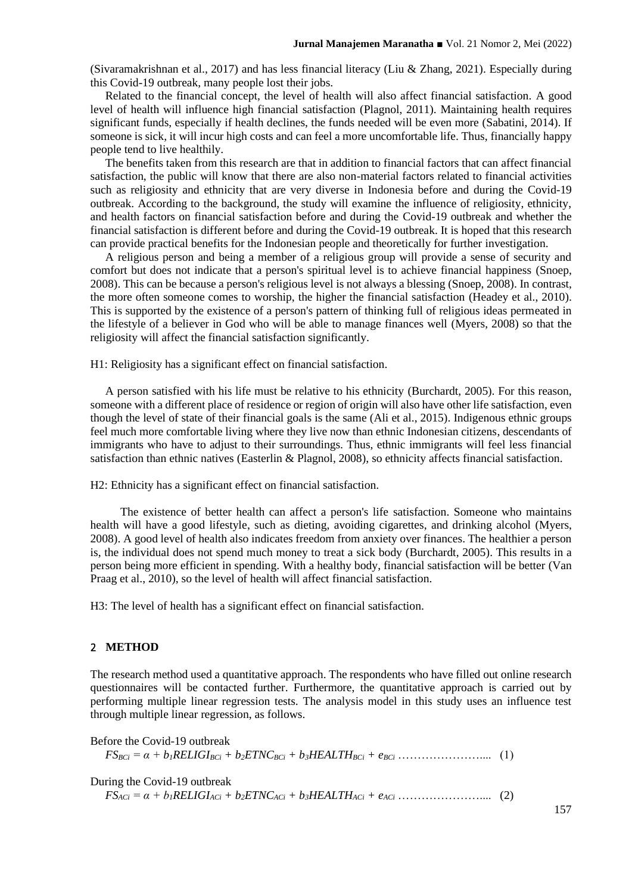(Sivaramakrishnan et al., 2017) and has less financial literacy (Liu & Zhang, 2021). Especially during this Covid-19 outbreak, many people lost their jobs.

Related to the financial concept, the level of health will also affect financial satisfaction. A good level of health will influence high financial satisfaction (Plagnol, 2011). Maintaining health requires significant funds, especially if health declines, the funds needed will be even more (Sabatini, 2014). If someone is sick, it will incur high costs and can feel a more uncomfortable life. Thus, financially happy people tend to live healthily.

The benefits taken from this research are that in addition to financial factors that can affect financial satisfaction, the public will know that there are also non-material factors related to financial activities such as religiosity and ethnicity that are very diverse in Indonesia before and during the Covid-19 outbreak. According to the background, the study will examine the influence of religiosity, ethnicity, and health factors on financial satisfaction before and during the Covid-19 outbreak and whether the financial satisfaction is different before and during the Covid-19 outbreak. It is hoped that this research can provide practical benefits for the Indonesian people and theoretically for further investigation.

A religious person and being a member of a religious group will provide a sense of security and comfort but does not indicate that a person's spiritual level is to achieve financial happiness (Snoep, 2008). This can be because a person's religious level is not always a blessing (Snoep, 2008). In contrast, the more often someone comes to worship, the higher the financial satisfaction (Headey et al., 2010). This is supported by the existence of a person's pattern of thinking full of religious ideas permeated in the lifestyle of a believer in God who will be able to manage finances well (Myers, 2008) so that the religiosity will affect the financial satisfaction significantly.

H1: Religiosity has a significant effect on financial satisfaction.

A person satisfied with his life must be relative to his ethnicity (Burchardt, 2005). For this reason, someone with a different place of residence or region of origin will also have other life satisfaction, even though the level of state of their financial goals is the same (Ali et al., 2015). Indigenous ethnic groups feel much more comfortable living where they live now than ethnic Indonesian citizens, descendants of immigrants who have to adjust to their surroundings. Thus, ethnic immigrants will feel less financial satisfaction than ethnic natives (Easterlin & Plagnol, 2008), so ethnicity affects financial satisfaction.

H2: Ethnicity has a significant effect on financial satisfaction.

The existence of better health can affect a person's life satisfaction. Someone who maintains health will have a good lifestyle, such as dieting, avoiding cigarettes, and drinking alcohol (Myers, 2008). A good level of health also indicates freedom from anxiety over finances. The healthier a person is, the individual does not spend much money to treat a sick body (Burchardt, 2005). This results in a person being more efficient in spending. With a healthy body, financial satisfaction will be better (Van Praag et al., 2010), so the level of health will affect financial satisfaction.

H3: The level of health has a significant effect on financial satisfaction.

## 2 **METHOD**

The research method used a quantitative approach. The respondents who have filled out online research questionnaires will be contacted further. Furthermore, the quantitative approach is carried out by performing multiple linear regression tests. The analysis model in this study uses an influence test through multiple linear regression, as follows.

| Before the Covid-19 outbreak |  |
|------------------------------|--|
|                              |  |
|                              |  |
| During the Covid-19 outbreak |  |
|                              |  |

157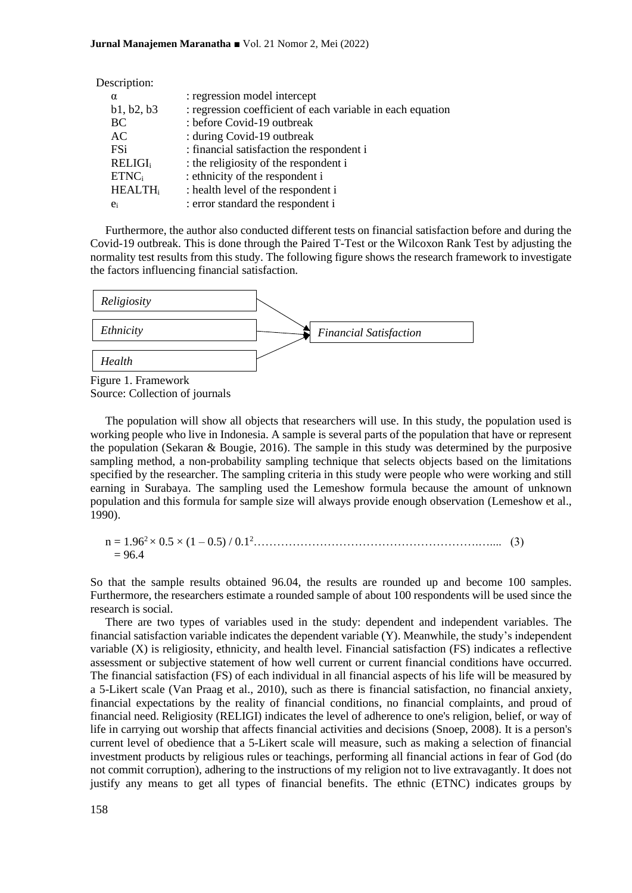| Description:               |                                                            |
|----------------------------|------------------------------------------------------------|
| $\alpha$                   | : regression model intercept                               |
| b1, b2, b3                 | : regression coefficient of each variable in each equation |
| BC                         | : before Covid-19 outbreak                                 |
| AC                         | : during Covid-19 outbreak                                 |
| FSi                        | : financial satisfaction the respondent i                  |
| <b>RELIGI</b> <sub>i</sub> | : the religiosity of the respondent i                      |
| ETNC <sub>i</sub>          | : ethnicity of the respondent i                            |
| <b>HEALTH</b> <sub>i</sub> | : health level of the respondent i                         |
| $e_i$                      | : error standard the respondent i                          |

Furthermore, the author also conducted different tests on financial satisfaction before and during the Covid-19 outbreak. This is done through the Paired T-Test or the Wilcoxon Rank Test by adjusting the normality test results from this study. The following figure shows the research framework to investigate the factors influencing financial satisfaction.



Figure 1. Framework Source: Collection of journals

The population will show all objects that researchers will use. In this study, the population used is working people who live in Indonesia. A sample is several parts of the population that have or represent the population (Sekaran & Bougie, 2016). The sample in this study was determined by the purposive sampling method, a non-probability sampling technique that selects objects based on the limitations specified by the researcher. The sampling criteria in this study were people who were working and still earning in Surabaya. The sampling used the Lemeshow formula because the amount of unknown population and this formula for sample size will always provide enough observation (Lemeshow et al., 1990).

n = 1.96<sup>2</sup>× 0.5 × (1 – 0.5) / 0.1<sup>2</sup>………………………………………………….….... (3)  $= 96.4$ 

So that the sample results obtained 96.04, the results are rounded up and become 100 samples. Furthermore, the researchers estimate a rounded sample of about 100 respondents will be used since the research is social.

There are two types of variables used in the study: dependent and independent variables. The financial satisfaction variable indicates the dependent variable (Y). Meanwhile, the study's independent variable (X) is religiosity, ethnicity, and health level. Financial satisfaction (FS) indicates a reflective assessment or subjective statement of how well current or current financial conditions have occurred. The financial satisfaction (FS) of each individual in all financial aspects of his life will be measured by a 5-Likert scale (Van Praag et al., 2010), such as there is financial satisfaction, no financial anxiety, financial expectations by the reality of financial conditions, no financial complaints, and proud of financial need. Religiosity (RELIGI) indicates the level of adherence to one's religion, belief, or way of life in carrying out worship that affects financial activities and decisions (Snoep, 2008). It is a person's current level of obedience that a 5-Likert scale will measure, such as making a selection of financial investment products by religious rules or teachings, performing all financial actions in fear of God (do not commit corruption), adhering to the instructions of my religion not to live extravagantly. It does not justify any means to get all types of financial benefits. The ethnic (ETNC) indicates groups by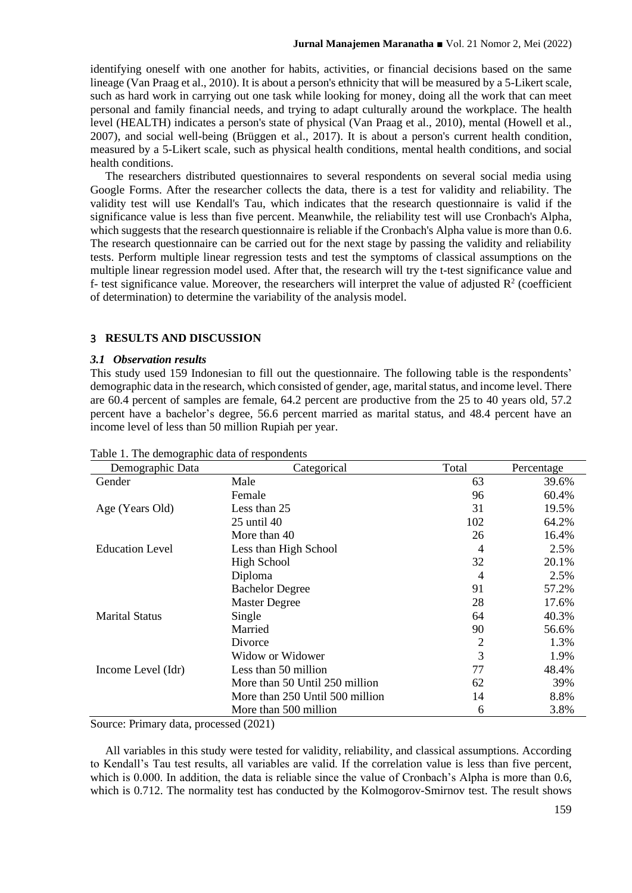identifying oneself with one another for habits, activities, or financial decisions based on the same lineage (Van Praag et al., 2010). It is about a person's ethnicity that will be measured by a 5-Likert scale, such as hard work in carrying out one task while looking for money, doing all the work that can meet personal and family financial needs, and trying to adapt culturally around the workplace. The health level (HEALTH) indicates a person's state of physical (Van Praag et al., 2010), mental (Howell et al., 2007), and social well-being (Brüggen et al., 2017). It is about a person's current health condition, measured by a 5-Likert scale, such as physical health conditions, mental health conditions, and social health conditions.

The researchers distributed questionnaires to several respondents on several social media using Google Forms. After the researcher collects the data, there is a test for validity and reliability. The validity test will use Kendall's Tau, which indicates that the research questionnaire is valid if the significance value is less than five percent. Meanwhile, the reliability test will use Cronbach's Alpha, which suggests that the research questionnaire is reliable if the Cronbach's Alpha value is more than 0.6. The research questionnaire can be carried out for the next stage by passing the validity and reliability tests. Perform multiple linear regression tests and test the symptoms of classical assumptions on the multiple linear regression model used. After that, the research will try the t-test significance value and f- test significance value. Moreover, the researchers will interpret the value of adjusted  $\mathbb{R}^2$  (coefficient of determination) to determine the variability of the analysis model.

## 3 **RESULTS AND DISCUSSION**

#### *3.1 Observation results*

This study used 159 Indonesian to fill out the questionnaire. The following table is the respondents' demographic data in the research, which consisted of gender, age, marital status, and income level. There are 60.4 percent of samples are female, 64.2 percent are productive from the 25 to 40 years old, 57.2 percent have a bachelor's degree, 56.6 percent married as marital status, and 48.4 percent have an income level of less than 50 million Rupiah per year.

| Demographic Data       | Categorical                     | Total | Percentage |
|------------------------|---------------------------------|-------|------------|
| Gender                 | Male                            | 63    | 39.6%      |
|                        | Female                          | 96    | 60.4%      |
| Age (Years Old)        | Less than 25                    | 31    | 19.5%      |
|                        | 25 until 40                     | 102   | 64.2%      |
|                        | More than 40                    | 26    | 16.4%      |
| <b>Education Level</b> | Less than High School           | 4     | 2.5%       |
|                        | High School                     | 32    | 20.1%      |
|                        | Diploma                         | 4     | 2.5%       |
|                        | <b>Bachelor Degree</b>          | 91    | 57.2%      |
|                        | <b>Master Degree</b>            | 28    | 17.6%      |
| <b>Marital Status</b>  | Single                          | 64    | 40.3%      |
|                        | Married                         | 90    | 56.6%      |
|                        | Divorce                         | 2     | 1.3%       |
|                        | Widow or Widower                | 3     | 1.9%       |
| Income Level (Idr)     | Less than 50 million            | 77    | 48.4%      |
|                        | More than 50 Until 250 million  | 62    | 39%        |
|                        | More than 250 Until 500 million | 14    | 8.8%       |
|                        | More than 500 million           | 6     | 3.8%       |

Table 1. The demographic data of respondents

Source: Primary data, processed (2021)

All variables in this study were tested for validity, reliability, and classical assumptions. According to Kendall's Tau test results, all variables are valid. If the correlation value is less than five percent, which is 0.000. In addition, the data is reliable since the value of Cronbach's Alpha is more than 0.6, which is 0.712. The normality test has conducted by the Kolmogorov-Smirnov test. The result shows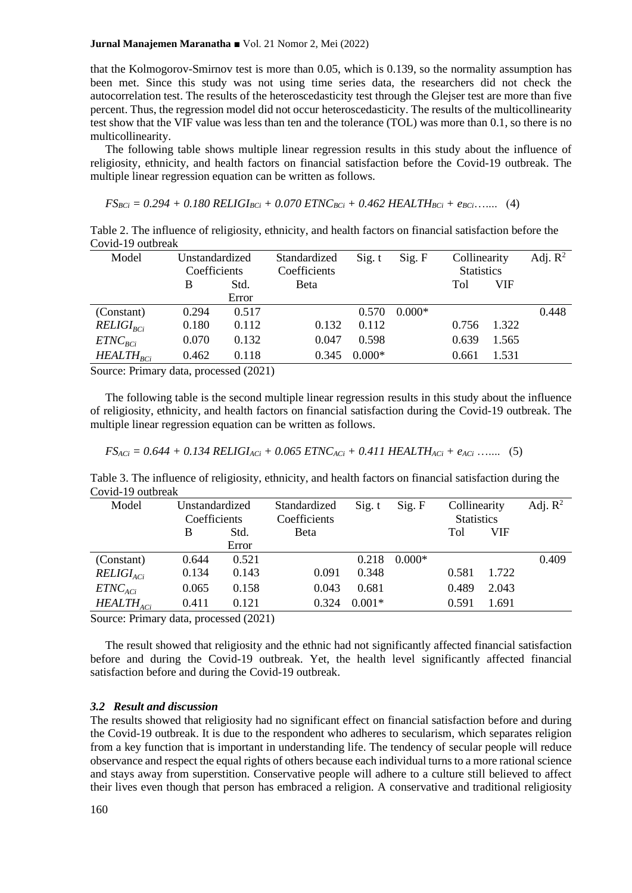#### **Jurnal Manajemen Maranatha** ■ Vol. 21 Nomor 2, Mei (2022)

that the Kolmogorov-Smirnov test is more than 0.05, which is 0.139, so the normality assumption has been met. Since this study was not using time series data, the researchers did not check the autocorrelation test. The results of the heteroscedasticity test through the Glejser test are more than five percent. Thus, the regression model did not occur heteroscedasticity. The results of the multicollinearity test show that the VIF value was less than ten and the tolerance (TOL) was more than 0.1, so there is no multicollinearity.

The following table shows multiple linear regression results in this study about the influence of religiosity, ethnicity, and health factors on financial satisfaction before the Covid-19 outbreak. The multiple linear regression equation can be written as follows.

 $FS_{BCi} = 0.294 + 0.180$   $RELIGI_{BCi} + 0.070$   $ETNC_{BCi} + 0.462$   $HEALTH_{BCi} + e_{BCi}$ ….... (4)

Table 2. The influence of religiosity, ethnicity, and health factors on financial satisfaction before the Covid-19 outbreak

| Model                          | Unstandardized |                                    | Standardized | Sig. t   | Sig. F   | Collinearity      |            | Adj. $R^2$ |
|--------------------------------|----------------|------------------------------------|--------------|----------|----------|-------------------|------------|------------|
|                                | Coefficients   |                                    | Coefficients |          |          | <b>Statistics</b> |            |            |
|                                | B              | Std.                               | <b>B</b> eta |          |          | Tol               | <b>VIF</b> |            |
|                                |                | Error                              |              |          |          |                   |            |            |
| (Constant)                     | 0.294          | 0.517                              |              | 0.570    | $0.000*$ |                   |            | 0.448      |
| $RELIGI_{RCi}$                 | 0.180          | 0.112                              | 0.132        | 0.112    |          | 0.756             | 1.322      |            |
| $ETNC_{BCi}$                   | 0.070          | 0.132                              | 0.047        | 0.598    |          | 0.639             | 1.565      |            |
| $HEALTH_{BCi}$                 | 0.462          | 0.118                              | 0.345        | $0.000*$ |          | 0.661             | 1.531      |            |
| $\sim$ $\sim$<br>$\sim$ $\sim$ |                | $\sim$ $\sim$ $\sim$ $\sim$ $\sim$ |              |          |          |                   |            |            |

Source: Primary data, processed (2021)

The following table is the second multiple linear regression results in this study about the influence of religiosity, ethnicity, and health factors on financial satisfaction during the Covid-19 outbreak. The multiple linear regression equation can be written as follows.

$$
FS_{ACi} = 0.644 + 0.134 \text{ RELIGI}_{ACi} + 0.065 \text{ ETNC}_{ACi} + 0.411 \text{ HEALTH}_{ACi} + e_{ACi} \dots \qquad (5)
$$

Table 3. The influence of religiosity, ethnicity, and health factors on financial satisfaction during the Covid-19 outbreak

| Model          | Unstandardized |       | Standardized | Sig. t   | Sig. F   | Collinearity      |       | Adj. $R^2$ |
|----------------|----------------|-------|--------------|----------|----------|-------------------|-------|------------|
|                | Coefficients   |       | Coefficients |          |          | <b>Statistics</b> |       |            |
|                | B              | Std.  | <b>B</b> eta |          |          | Tol               | VIF   |            |
|                |                | Error |              |          |          |                   |       |            |
| (Constant)     | 0.644          | 0.521 |              | 0.218    | $0.000*$ |                   |       | 0.409      |
| $RELIGI_{ACi}$ | 0.134          | 0.143 | 0.091        | 0.348    |          | 0.581             | 1.722 |            |
| $ETNC_{ACi}$   | 0.065          | 0.158 | 0.043        | 0.681    |          | 0.489             | 2.043 |            |
| $HEALTH_{ACi}$ | 0.411          | 0.121 | 0.324        | $0.001*$ |          | 0.591             | 1.691 |            |

Source: Primary data, processed (2021)

The result showed that religiosity and the ethnic had not significantly affected financial satisfaction before and during the Covid-19 outbreak. Yet, the health level significantly affected financial satisfaction before and during the Covid-19 outbreak.

#### *3.2 Result and discussion*

The results showed that religiosity had no significant effect on financial satisfaction before and during the Covid-19 outbreak. It is due to the respondent who adheres to secularism, which separates religion from a key function that is important in understanding life. The tendency of secular people will reduce observance and respect the equal rights of others because each individual turns to a more rational science and stays away from superstition. Conservative people will adhere to a culture still believed to affect their lives even though that person has embraced a religion. A conservative and traditional religiosity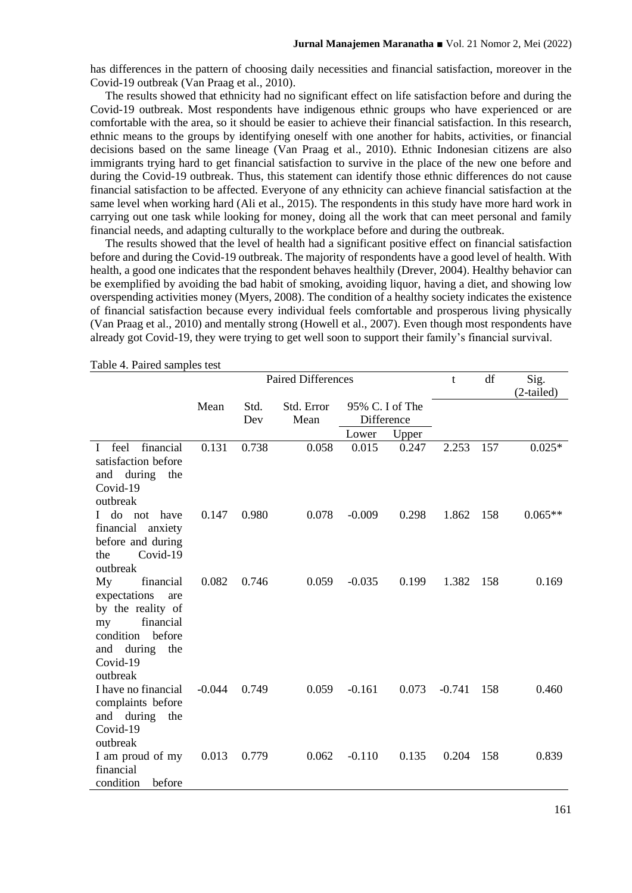has differences in the pattern of choosing daily necessities and financial satisfaction, moreover in the Covid-19 outbreak (Van Praag et al., 2010).

The results showed that ethnicity had no significant effect on life satisfaction before and during the Covid-19 outbreak. Most respondents have indigenous ethnic groups who have experienced or are comfortable with the area, so it should be easier to achieve their financial satisfaction. In this research, ethnic means to the groups by identifying oneself with one another for habits, activities, or financial decisions based on the same lineage (Van Praag et al., 2010). Ethnic Indonesian citizens are also immigrants trying hard to get financial satisfaction to survive in the place of the new one before and during the Covid-19 outbreak. Thus, this statement can identify those ethnic differences do not cause financial satisfaction to be affected. Everyone of any ethnicity can achieve financial satisfaction at the same level when working hard (Ali et al., 2015). The respondents in this study have more hard work in carrying out one task while looking for money, doing all the work that can meet personal and family financial needs, and adapting culturally to the workplace before and during the outbreak.

The results showed that the level of health had a significant positive effect on financial satisfaction before and during the Covid-19 outbreak. The majority of respondents have a good level of health. With health, a good one indicates that the respondent behaves healthily (Drever, 2004). Healthy behavior can be exemplified by avoiding the bad habit of smoking, avoiding liquor, having a diet, and showing low overspending activities money (Myers, 2008). The condition of a healthy society indicates the existence of financial satisfaction because every individual feels comfortable and prosperous living physically (Van Praag et al., 2010) and mentally strong (Howell et al., 2007). Even though most respondents have already got Covid-19, they were trying to get well soon to support their family's financial survival.

| $1 \text{ and } 7.1 \text{ and } 8 \text{ and } 10 \text{ is } 10$ |          | <b>Paired Differences</b> |            |                 |       | t        | df   | Sig.<br>(2-tailed) |
|--------------------------------------------------------------------|----------|---------------------------|------------|-----------------|-------|----------|------|--------------------|
|                                                                    | Mean     | Std.                      | Std. Error | 95% C. I of The |       |          |      |                    |
|                                                                    |          | Dev                       | Mean       | Difference      |       |          |      |                    |
|                                                                    |          |                           |            | Lower           | Upper |          |      |                    |
| financial<br>feel<br>$\mathbf{I}$                                  | 0.131    | 0.738                     | 0.058      | 0.015           | 0.247 | 2.253    | 157  | $0.025*$           |
| satisfaction before                                                |          |                           |            |                 |       |          |      |                    |
| and during the<br>Covid-19                                         |          |                           |            |                 |       |          |      |                    |
| outbreak                                                           |          |                           |            |                 |       |          |      |                    |
| do not<br>have                                                     | 0.147    | 0.980                     | 0.078      | $-0.009$        | 0.298 | 1.862    | 158  | $0.065**$          |
| financial<br>anxiety                                               |          |                           |            |                 |       |          |      |                    |
| before and during                                                  |          |                           |            |                 |       |          |      |                    |
| Covid-19<br>the                                                    |          |                           |            |                 |       |          |      |                    |
| outbreak                                                           |          |                           |            |                 |       |          |      |                    |
| My<br>financial                                                    | 0.082    | 0.746                     | 0.059      | $-0.035$        | 0.199 | 1.382    | -158 | 0.169              |
| expectations<br>are                                                |          |                           |            |                 |       |          |      |                    |
| by the reality of                                                  |          |                           |            |                 |       |          |      |                    |
| financial<br>my                                                    |          |                           |            |                 |       |          |      |                    |
| condition<br>before                                                |          |                           |            |                 |       |          |      |                    |
| and during<br>the<br>Covid-19                                      |          |                           |            |                 |       |          |      |                    |
| outbreak                                                           |          |                           |            |                 |       |          |      |                    |
| I have no financial                                                | $-0.044$ | 0.749                     | 0.059      | $-0.161$        | 0.073 | $-0.741$ | 158  | 0.460              |
| complaints before                                                  |          |                           |            |                 |       |          |      |                    |
| and during the                                                     |          |                           |            |                 |       |          |      |                    |
| Covid-19                                                           |          |                           |            |                 |       |          |      |                    |
| outbreak                                                           |          |                           |            |                 |       |          |      |                    |
| I am proud of my                                                   | 0.013    | 0.779                     | 0.062      | $-0.110$        | 0.135 | 0.204    | 158  | 0.839              |
| financial                                                          |          |                           |            |                 |       |          |      |                    |
| condition<br>before                                                |          |                           |            |                 |       |          |      |                    |

Table 4. Paired samples test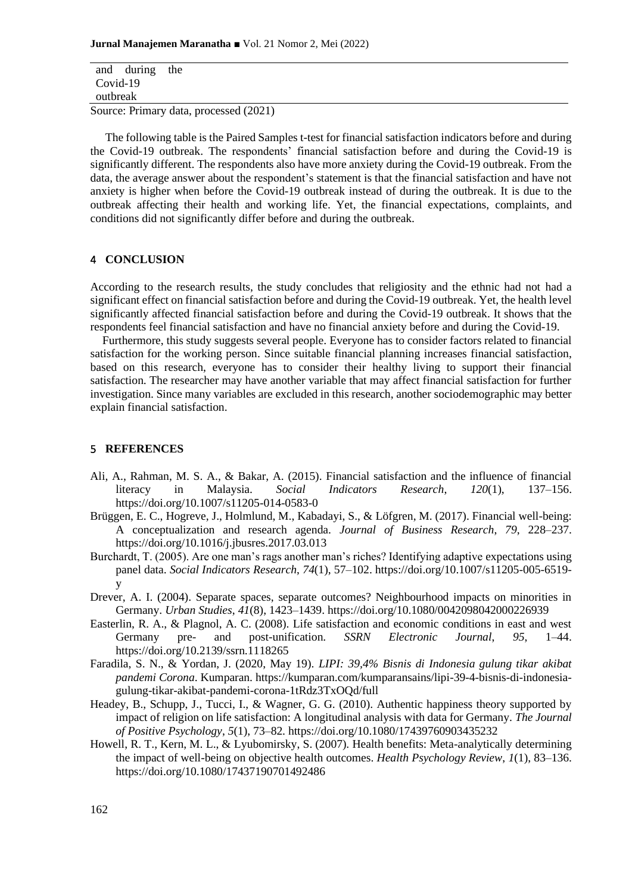and during the Covid-19 outbreak

Source: Primary data, processed (2021)

The following table is the Paired Samples t-test for financial satisfaction indicators before and during the Covid-19 outbreak. The respondents' financial satisfaction before and during the Covid-19 is significantly different. The respondents also have more anxiety during the Covid-19 outbreak. From the data, the average answer about the respondent's statement is that the financial satisfaction and have not anxiety is higher when before the Covid-19 outbreak instead of during the outbreak. It is due to the outbreak affecting their health and working life. Yet, the financial expectations, complaints, and conditions did not significantly differ before and during the outbreak.

## 4 **CONCLUSION**

According to the research results, the study concludes that religiosity and the ethnic had not had a significant effect on financial satisfaction before and during the Covid-19 outbreak. Yet, the health level significantly affected financial satisfaction before and during the Covid-19 outbreak. It shows that the respondents feel financial satisfaction and have no financial anxiety before and during the Covid-19.

Furthermore, this study suggests several people. Everyone has to consider factors related to financial satisfaction for the working person. Since suitable financial planning increases financial satisfaction, based on this research, everyone has to consider their healthy living to support their financial satisfaction. The researcher may have another variable that may affect financial satisfaction for further investigation. Since many variables are excluded in this research, another sociodemographic may better explain financial satisfaction.

## 5 **REFERENCES**

- Ali, A., Rahman, M. S. A., & Bakar, A. (2015). Financial satisfaction and the influence of financial literacy in Malaysia. *Social Indicators Research*, *120*(1), 137–156. https://doi.org/10.1007/s11205-014-0583-0
- Brüggen, E. C., Hogreve, J., Holmlund, M., Kabadayi, S., & Löfgren, M. (2017). Financial well-being: A conceptualization and research agenda. *Journal of Business Research*, *79*, 228–237. https://doi.org/10.1016/j.jbusres.2017.03.013
- Burchardt, T. (2005). Are one man's rags another man's riches? Identifying adaptive expectations using panel data. *Social Indicators Research*, *74*(1), 57–102. https://doi.org/10.1007/s11205-005-6519 y
- Drever, A. I. (2004). Separate spaces, separate outcomes? Neighbourhood impacts on minorities in Germany. *Urban Studies*, *41*(8), 1423–1439. https://doi.org/10.1080/0042098042000226939
- Easterlin, R. A., & Plagnol, A. C. (2008). Life satisfaction and economic conditions in east and west Germany pre- and post-unification. *SSRN Electronic Journal*, *95*, 1–44. https://doi.org/10.2139/ssrn.1118265
- Faradila, S. N., & Yordan, J. (2020, May 19). *LIPI: 39,4% Bisnis di Indonesia gulung tikar akibat pandemi Corona*. Kumparan. https://kumparan.com/kumparansains/lipi-39-4-bisnis-di-indonesiagulung-tikar-akibat-pandemi-corona-1tRdz3TxOQd/full
- Headey, B., Schupp, J., Tucci, I., & Wagner, G. G. (2010). Authentic happiness theory supported by impact of religion on life satisfaction: A longitudinal analysis with data for Germany. *The Journal of Positive Psychology*, *5*(1), 73–82. https://doi.org/10.1080/17439760903435232
- Howell, R. T., Kern, M. L., & Lyubomirsky, S. (2007). Health benefits: Meta-analytically determining the impact of well-being on objective health outcomes. *Health Psychology Review*, *1*(1), 83–136. https://doi.org/10.1080/17437190701492486